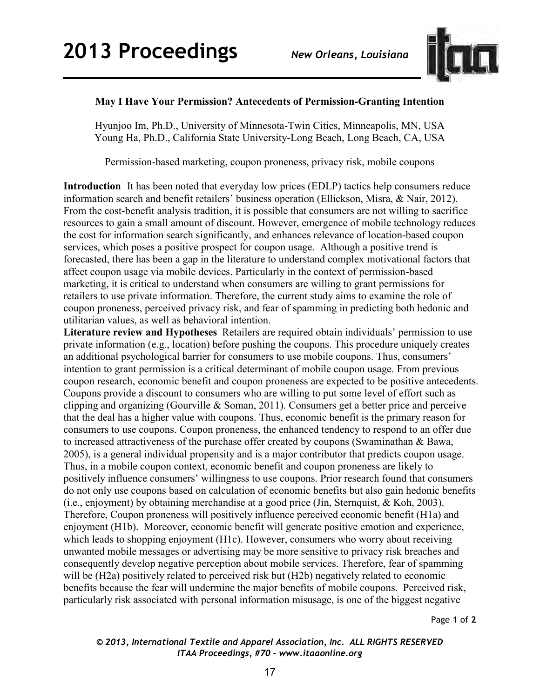

## **May I Have Your Permission? Antecedents of Permission-Granting Intention**

Hyunjoo Im, Ph.D., University of Minnesota-Twin Cities, Minneapolis, MN, USA Young Ha, Ph.D., California State University-Long Beach, Long Beach, CA, USA

Permission-based marketing, coupon proneness, privacy risk, mobile coupons

**Introduction** It has been noted that everyday low prices (EDLP) tactics help consumers reduce information search and benefit retailers' business operation (Ellickson, Misra, & Nair, 2012). From the cost-benefit analysis tradition, it is possible that consumers are not willing to sacrifice resources to gain a small amount of discount. However, emergence of mobile technology reduces the cost for information search significantly, and enhances relevance of location-based coupon services, which poses a positive prospect for coupon usage. Although a positive trend is forecasted, there has been a gap in the literature to understand complex motivational factors that affect coupon usage via mobile devices. Particularly in the context of permission-based marketing, it is critical to understand when consumers are willing to grant permissions for retailers to use private information. Therefore, the current study aims to examine the role of coupon proneness, perceived privacy risk, and fear of spamming in predicting both hedonic and utilitarian values, as well as behavioral intention.

**Literature review and Hypotheses** Retailers are required obtain individuals' permission to use private information (e.g., location) before pushing the coupons. This procedure uniquely creates an additional psychological barrier for consumers to use mobile coupons. Thus, consumers' intention to grant permission is a critical determinant of mobile coupon usage. From previous coupon research, economic benefit and coupon proneness are expected to be positive antecedents. Coupons provide a discount to consumers who are willing to put some level of effort such as clipping and organizing (Gourville & Soman, 2011). Consumers get a better price and perceive that the deal has a higher value with coupons. Thus, economic benefit is the primary reason for consumers to use coupons. Coupon proneness, the enhanced tendency to respond to an offer due to increased attractiveness of the purchase offer created by coupons (Swaminathan & Bawa, 2005), is a general individual propensity and is a major contributor that predicts coupon usage. Thus, in a mobile coupon context, economic benefit and coupon proneness are likely to positively influence consumers' willingness to use coupons. Prior research found that consumers do not only use coupons based on calculation of economic benefits but also gain hedonic benefits (i.e., enjoyment) by obtaining merchandise at a good price (Jin, Sternquist, & Koh, 2003). Therefore, Coupon proneness will positively influence perceived economic benefit (H1a) and enjoyment (H1b). Moreover, economic benefit will generate positive emotion and experience, which leads to shopping enjoyment (H1c). However, consumers who worry about receiving unwanted mobile messages or advertising may be more sensitive to privacy risk breaches and consequently develop negative perception about mobile services. Therefore, fear of spamming will be (H2a) positively related to perceived risk but (H2b) negatively related to economic benefits because the fear will undermine the major benefits of mobile coupons. Perceived risk, particularly risk associated with personal information misusage, is one of the biggest negative

Page **1** of **2** 

## *© 2013, International Textile and Apparel Association, Inc. ALL RIGHTS RESERVED ITAA Proceedings, #70 – www.itaaonline.org*